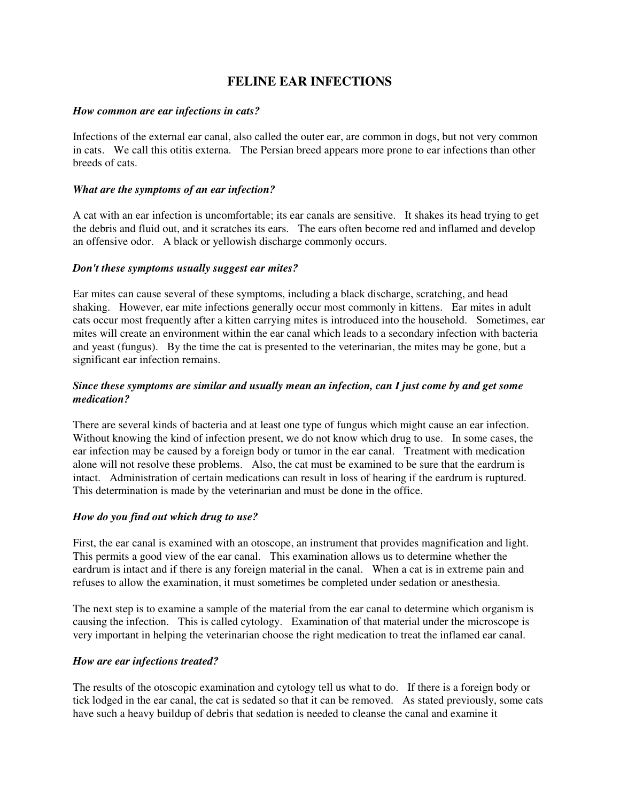# **FELINE EAR INFECTIONS**

## *How common are ear infections in cats?*

Infections of the external ear canal, also called the outer ear, are common in dogs, but not very common in cats. We call this otitis externa. The Persian breed appears more prone to ear infections than other breeds of cats.

### *What are the symptoms of an ear infection?*

A cat with an ear infection is uncomfortable; its ear canals are sensitive. It shakes its head trying to get the debris and fluid out, and it scratches its ears. The ears often become red and inflamed and develop an offensive odor. A black or yellowish discharge commonly occurs.

#### *Don't these symptoms usually suggest ear mites?*

Ear mites can cause several of these symptoms, including a black discharge, scratching, and head shaking. However, ear mite infections generally occur most commonly in kittens. Ear mites in adult cats occur most frequently after a kitten carrying mites is introduced into the household. Sometimes, ear mites will create an environment within the ear canal which leads to a secondary infection with bacteria and yeast (fungus). By the time the cat is presented to the veterinarian, the mites may be gone, but a significant ear infection remains.

# *Since these symptoms are similar and usually mean an infection, can I just come by and get some medication?*

There are several kinds of bacteria and at least one type of fungus which might cause an ear infection. Without knowing the kind of infection present, we do not know which drug to use. In some cases, the ear infection may be caused by a foreign body or tumor in the ear canal. Treatment with medication alone will not resolve these problems. Also, the cat must be examined to be sure that the eardrum is intact. Administration of certain medications can result in loss of hearing if the eardrum is ruptured. This determination is made by the veterinarian and must be done in the office.

## *How do you find out which drug to use?*

First, the ear canal is examined with an otoscope, an instrument that provides magnification and light. This permits a good view of the ear canal. This examination allows us to determine whether the eardrum is intact and if there is any foreign material in the canal. When a cat is in extreme pain and refuses to allow the examination, it must sometimes be completed under sedation or anesthesia.

The next step is to examine a sample of the material from the ear canal to determine which organism is causing the infection. This is called cytology. Examination of that material under the microscope is very important in helping the veterinarian choose the right medication to treat the inflamed ear canal.

#### *How are ear infections treated?*

The results of the otoscopic examination and cytology tell us what to do. If there is a foreign body or tick lodged in the ear canal, the cat is sedated so that it can be removed. As stated previously, some cats have such a heavy buildup of debris that sedation is needed to cleanse the canal and examine it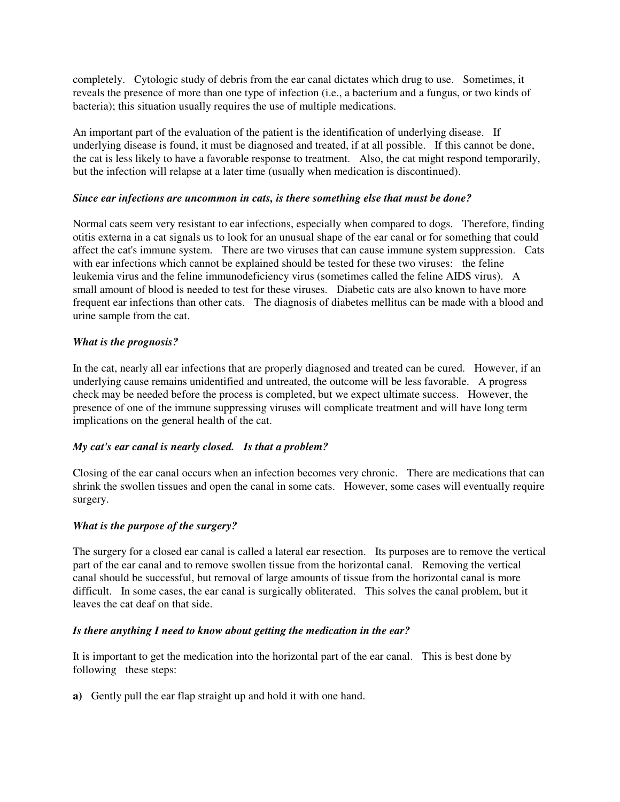completely. Cytologic study of debris from the ear canal dictates which drug to use. Sometimes, it reveals the presence of more than one type of infection (i.e., a bacterium and a fungus, or two kinds of bacteria); this situation usually requires the use of multiple medications.

An important part of the evaluation of the patient is the identification of underlying disease. If underlying disease is found, it must be diagnosed and treated, if at all possible. If this cannot be done, the cat is less likely to have a favorable response to treatment. Also, the cat might respond temporarily, but the infection will relapse at a later time (usually when medication is discontinued).

## *Since ear infections are uncommon in cats, is there something else that must be done?*

Normal cats seem very resistant to ear infections, especially when compared to dogs. Therefore, finding otitis externa in a cat signals us to look for an unusual shape of the ear canal or for something that could affect the cat's immune system. There are two viruses that can cause immune system suppression. Cats with ear infections which cannot be explained should be tested for these two viruses: the feline leukemia virus and the feline immunodeficiency virus (sometimes called the feline AIDS virus). A small amount of blood is needed to test for these viruses. Diabetic cats are also known to have more frequent ear infections than other cats. The diagnosis of diabetes mellitus can be made with a blood and urine sample from the cat.

# *What is the prognosis?*

In the cat, nearly all ear infections that are properly diagnosed and treated can be cured. However, if an underlying cause remains unidentified and untreated, the outcome will be less favorable. A progress check may be needed before the process is completed, but we expect ultimate success. However, the presence of one of the immune suppressing viruses will complicate treatment and will have long term implications on the general health of the cat.

# *My cat's ear canal is nearly closed. Is that a problem?*

Closing of the ear canal occurs when an infection becomes very chronic. There are medications that can shrink the swollen tissues and open the canal in some cats. However, some cases will eventually require surgery.

# *What is the purpose of the surgery?*

The surgery for a closed ear canal is called a lateral ear resection. Its purposes are to remove the vertical part of the ear canal and to remove swollen tissue from the horizontal canal. Removing the vertical canal should be successful, but removal of large amounts of tissue from the horizontal canal is more difficult. In some cases, the ear canal is surgically obliterated. This solves the canal problem, but it leaves the cat deaf on that side.

## *Is there anything I need to know about getting the medication in the ear?*

It is important to get the medication into the horizontal part of the ear canal. This is best done by following these steps:

**a)** Gently pull the ear flap straight up and hold it with one hand.